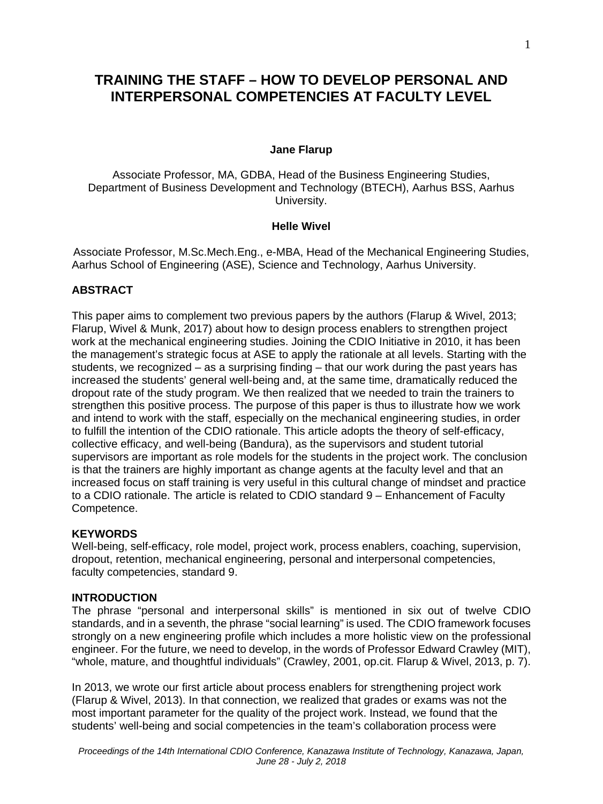# **TRAINING THE STAFF – HOW TO DEVELOP PERSONAL AND INTERPERSONAL COMPETENCIES AT FACULTY LEVEL**

### **Jane Flarup**

Associate Professor, MA, GDBA, Head of the Business Engineering Studies, Department of Business Development and Technology (BTECH), Aarhus BSS, Aarhus University.

#### **Helle Wivel**

Associate Professor, M.Sc.Mech.Eng., e-MBA, Head of the Mechanical Engineering Studies, Aarhus School of Engineering (ASE), Science and Technology, Aarhus University.

# **ABSTRACT**

This paper aims to complement two previous papers by the authors (Flarup & Wivel, 2013; Flarup, Wivel & Munk, 2017) about how to design process enablers to strengthen project work at the mechanical engineering studies. Joining the CDIO Initiative in 2010, it has been the management's strategic focus at ASE to apply the rationale at all levels. Starting with the students, we recognized – as a surprising finding – that our work during the past years has increased the students' general well-being and, at the same time, dramatically reduced the dropout rate of the study program. We then realized that we needed to train the trainers to strengthen this positive process. The purpose of this paper is thus to illustrate how we work and intend to work with the staff, especially on the mechanical engineering studies, in order to fulfill the intention of the CDIO rationale. This article adopts the theory of self-efficacy, collective efficacy, and well-being (Bandura), as the supervisors and student tutorial supervisors are important as role models for the students in the project work. The conclusion is that the trainers are highly important as change agents at the faculty level and that an increased focus on staff training is very useful in this cultural change of mindset and practice to a CDIO rationale. The article is related to CDIO standard 9 – Enhancement of Faculty Competence.

### **KEYWORDS**

Well-being, self-efficacy, role model, project work, process enablers, coaching, supervision, dropout, retention, mechanical engineering, personal and interpersonal competencies, faculty competencies, standard 9.

#### **INTRODUCTION**

The phrase "personal and interpersonal skills" is mentioned in six out of twelve CDIO standards, and in a seventh, the phrase "social learning" is used. The CDIO framework focuses strongly on a new engineering profile which includes a more holistic view on the professional engineer. For the future, we need to develop, in the words of Professor Edward Crawley (MIT), "whole, mature, and thoughtful individuals" (Crawley, 2001, op.cit. Flarup & Wivel, 2013, p. 7).

In 2013, we wrote our first article about process enablers for strengthening project work (Flarup & Wivel, 2013). In that connection, we realized that grades or exams was not the most important parameter for the quality of the project work. Instead, we found that the students' well-being and social competencies in the team's collaboration process were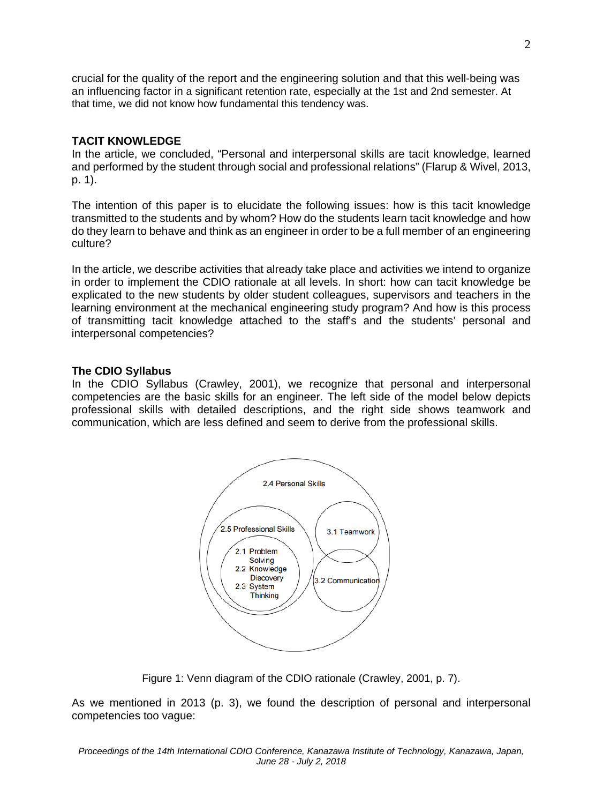crucial for the quality of the report and the engineering solution and that this well-being was an influencing factor in a significant retention rate, especially at the 1st and 2nd semester. At that time, we did not know how fundamental this tendency was.

# **TACIT KNOWLEDGE**

In the article, we concluded, "Personal and interpersonal skills are tacit knowledge, learned and performed by the student through social and professional relations" (Flarup & Wivel, 2013, p. 1).

The intention of this paper is to elucidate the following issues: how is this tacit knowledge transmitted to the students and by whom? How do the students learn tacit knowledge and how do they learn to behave and think as an engineer in order to be a full member of an engineering culture?

In the article, we describe activities that already take place and activities we intend to organize in order to implement the CDIO rationale at all levels. In short: how can tacit knowledge be explicated to the new students by older student colleagues, supervisors and teachers in the learning environment at the mechanical engineering study program? And how is this process of transmitting tacit knowledge attached to the staff's and the students' personal and interpersonal competencies?

# **The CDIO Syllabus**

In the CDIO Syllabus (Crawley, 2001), we recognize that personal and interpersonal competencies are the basic skills for an engineer. The left side of the model below depicts professional skills with detailed descriptions, and the right side shows teamwork and communication, which are less defined and seem to derive from the professional skills.



Figure 1: Venn diagram of the CDIO rationale (Crawley, 2001, p. 7).

As we mentioned in 2013 (p. 3), we found the description of personal and interpersonal competencies too vague: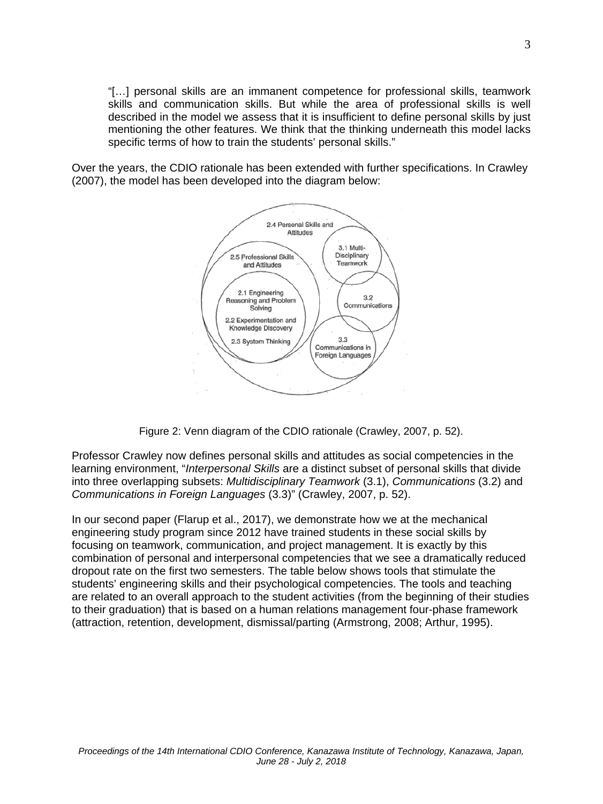"[…] personal skills are an immanent competence for professional skills, teamwork skills and communication skills. But while the area of professional skills is well described in the model we assess that it is insufficient to define personal skills by just mentioning the other features. We think that the thinking underneath this model lacks specific terms of how to train the students' personal skills."

Over the years, the CDIO rationale has been extended with further specifications. In Crawley (2007), the model has been developed into the diagram below:



Figure 2: Venn diagram of the CDIO rationale (Crawley, 2007, p. 52).

Professor Crawley now defines personal skills and attitudes as social competencies in the learning environment, "*Interpersonal Skills* are a distinct subset of personal skills that divide into three overlapping subsets: *Multidisciplinary Teamwork* (3.1), *Communications* (3.2) and *Communications in Foreign Languages* (3.3)" (Crawley, 2007, p. 52).

In our second paper (Flarup et al., 2017), we demonstrate how we at the mechanical engineering study program since 2012 have trained students in these social skills by focusing on teamwork, communication, and project management. It is exactly by this combination of personal and interpersonal competencies that we see a dramatically reduced dropout rate on the first two semesters. The table below shows tools that stimulate the students' engineering skills and their psychological competencies. The tools and teaching are related to an overall approach to the student activities (from the beginning of their studies to their graduation) that is based on a human relations management four-phase framework (attraction, retention, development, dismissal/parting (Armstrong, 2008; Arthur, 1995).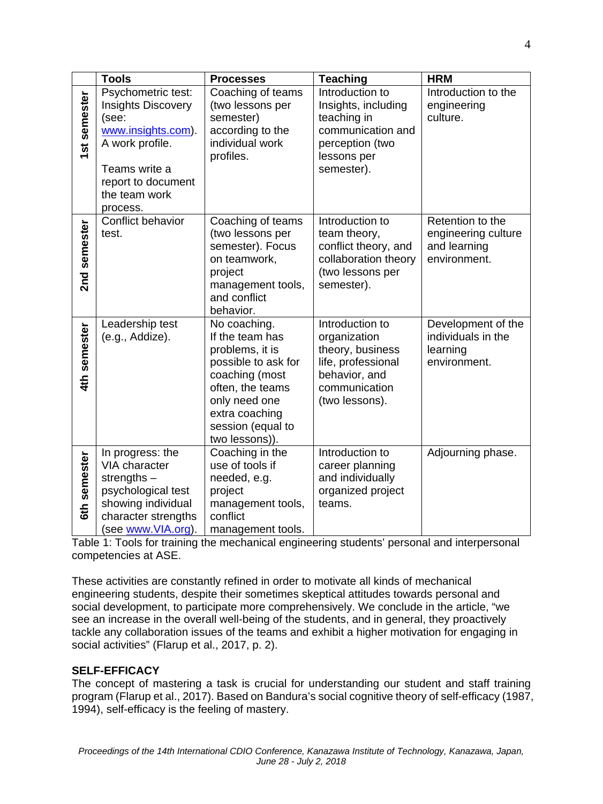|              | <b>Tools</b>                                                                                                                                                          | <b>Processes</b>                                                                                                                                                                          | <b>Teaching</b>                                                                                                               | <b>HRM</b>                                                              |
|--------------|-----------------------------------------------------------------------------------------------------------------------------------------------------------------------|-------------------------------------------------------------------------------------------------------------------------------------------------------------------------------------------|-------------------------------------------------------------------------------------------------------------------------------|-------------------------------------------------------------------------|
| 1st semester | Psychometric test:<br><b>Insights Discovery</b><br>(see:<br>www.insights.com).<br>A work profile.<br>Teams write a<br>report to document<br>the team work<br>process. | Coaching of teams<br>(two lessons per<br>semester)<br>according to the<br>individual work<br>profiles.                                                                                    | Introduction to<br>Insights, including<br>teaching in<br>communication and<br>perception (two<br>lessons per<br>semester).    | Introduction to the<br>engineering<br>culture.                          |
| 2nd semester | Conflict behavior<br>test.                                                                                                                                            | Coaching of teams<br>(two lessons per<br>semester). Focus<br>on teamwork,<br>project<br>management tools,<br>and conflict<br>behavior.                                                    | Introduction to<br>team theory,<br>conflict theory, and<br>collaboration theory<br>(two lessons per<br>semester).             | Retention to the<br>engineering culture<br>and learning<br>environment. |
| 4th semester | Leadership test<br>(e.g., Addize).                                                                                                                                    | No coaching.<br>If the team has<br>problems, it is<br>possible to ask for<br>coaching (most<br>often, the teams<br>only need one<br>extra coaching<br>session (equal to<br>two lessons)). | Introduction to<br>organization<br>theory, business<br>life, professional<br>behavior, and<br>communication<br>(two lessons). | Development of the<br>individuals in the<br>learning<br>environment.    |
| 6th semester | In progress: the<br>VIA character<br>strengths $-$<br>psychological test<br>showing individual<br>character strengths<br>(see www.VIA.org).                           | Coaching in the<br>use of tools if<br>needed, e.g.<br>project<br>management tools,<br>conflict<br>management tools.                                                                       | Introduction to<br>career planning<br>and individually<br>organized project<br>teams.                                         | Adjourning phase.                                                       |

Table 1: Tools for training the mechanical engineering students' personal and interpersonal competencies at ASE.

These activities are constantly refined in order to motivate all kinds of mechanical engineering students, despite their sometimes skeptical attitudes towards personal and social development, to participate more comprehensively. We conclude in the article, "we see an increase in the overall well-being of the students, and in general, they proactively tackle any collaboration issues of the teams and exhibit a higher motivation for engaging in social activities" (Flarup et al., 2017, p. 2).

# **SELF-EFFICACY**

The concept of mastering a task is crucial for understanding our student and staff training program (Flarup et al., 2017). Based on Bandura's social cognitive theory of self-efficacy (1987, 1994), self-efficacy is the feeling of mastery.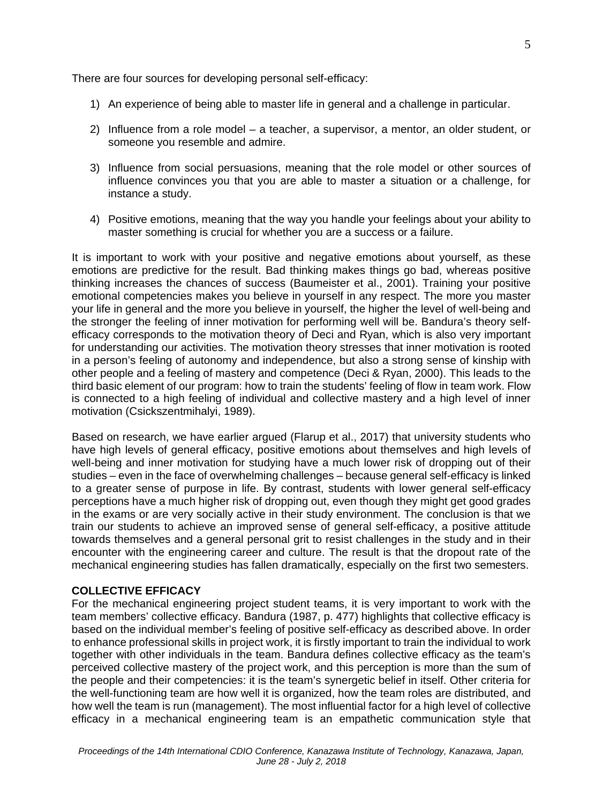There are four sources for developing personal self-efficacy:

- 1) An experience of being able to master life in general and a challenge in particular.
- 2) Influence from a role model a teacher, a supervisor, a mentor, an older student, or someone you resemble and admire.
- 3) Influence from social persuasions, meaning that the role model or other sources of influence convinces you that you are able to master a situation or a challenge, for instance a study.
- 4) Positive emotions, meaning that the way you handle your feelings about your ability to master something is crucial for whether you are a success or a failure.

It is important to work with your positive and negative emotions about yourself, as these emotions are predictive for the result. Bad thinking makes things go bad, whereas positive thinking increases the chances of success (Baumeister et al., 2001). Training your positive emotional competencies makes you believe in yourself in any respect. The more you master your life in general and the more you believe in yourself, the higher the level of well-being and the stronger the feeling of inner motivation for performing well will be. Bandura's theory selfefficacy corresponds to the motivation theory of Deci and Ryan, which is also very important for understanding our activities. The motivation theory stresses that inner motivation is rooted in a person's feeling of autonomy and independence, but also a strong sense of kinship with other people and a feeling of mastery and competence (Deci & Ryan, 2000). This leads to the third basic element of our program: how to train the students' feeling of flow in team work. Flow is connected to a high feeling of individual and collective mastery and a high level of inner motivation (Csickszentmihalyi, 1989).

Based on research, we have earlier argued (Flarup et al., 2017) that university students who have high levels of general efficacy, positive emotions about themselves and high levels of well-being and inner motivation for studying have a much lower risk of dropping out of their studies – even in the face of overwhelming challenges – because general self-efficacy is linked to a greater sense of purpose in life. By contrast, students with lower general self-efficacy perceptions have a much higher risk of dropping out, even though they might get good grades in the exams or are very socially active in their study environment. The conclusion is that we train our students to achieve an improved sense of general self-efficacy, a positive attitude towards themselves and a general personal grit to resist challenges in the study and in their encounter with the engineering career and culture. The result is that the dropout rate of the mechanical engineering studies has fallen dramatically, especially on the first two semesters.

## **COLLECTIVE EFFICACY**

For the mechanical engineering project student teams, it is very important to work with the team members' collective efficacy. Bandura (1987, p. 477) highlights that collective efficacy is based on the individual member's feeling of positive self-efficacy as described above. In order to enhance professional skills in project work, it is firstly important to train the individual to work together with other individuals in the team. Bandura defines collective efficacy as the team's perceived collective mastery of the project work, and this perception is more than the sum of the people and their competencies: it is the team's synergetic belief in itself. Other criteria for the well-functioning team are how well it is organized, how the team roles are distributed, and how well the team is run (management). The most influential factor for a high level of collective efficacy in a mechanical engineering team is an empathetic communication style that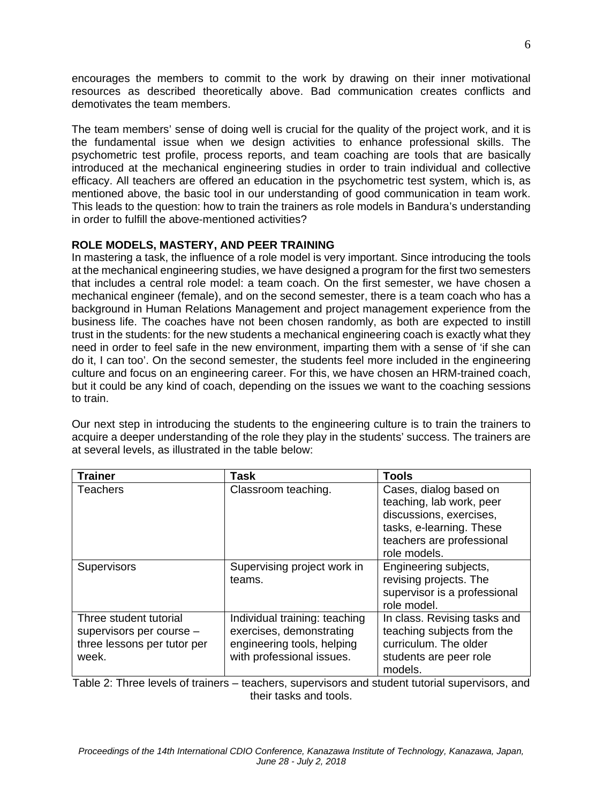encourages the members to commit to the work by drawing on their inner motivational resources as described theoretically above. Bad communication creates conflicts and demotivates the team members.

The team members' sense of doing well is crucial for the quality of the project work, and it is the fundamental issue when we design activities to enhance professional skills. The psychometric test profile, process reports, and team coaching are tools that are basically introduced at the mechanical engineering studies in order to train individual and collective efficacy. All teachers are offered an education in the psychometric test system, which is, as mentioned above, the basic tool in our understanding of good communication in team work. This leads to the question: how to train the trainers as role models in Bandura's understanding in order to fulfill the above-mentioned activities?

# **ROLE MODELS, MASTERY, AND PEER TRAINING**

In mastering a task, the influence of a role model is very important. Since introducing the tools at the mechanical engineering studies, we have designed a program for the first two semesters that includes a central role model: a team coach. On the first semester, we have chosen a mechanical engineer (female), and on the second semester, there is a team coach who has a background in Human Relations Management and project management experience from the business life. The coaches have not been chosen randomly, as both are expected to instill trust in the students: for the new students a mechanical engineering coach is exactly what they need in order to feel safe in the new environment, imparting them with a sense of 'if she can do it, I can too'. On the second semester, the students feel more included in the engineering culture and focus on an engineering career. For this, we have chosen an HRM-trained coach, but it could be any kind of coach, depending on the issues we want to the coaching sessions to train.

Our next step in introducing the students to the engineering culture is to train the trainers to acquire a deeper understanding of the role they play in the students' success. The trainers are at several levels, as illustrated in the table below:

| <b>Trainer</b>                                                                             | Task                                                                                                                 | <b>Tools</b>                                                                                                                                           |
|--------------------------------------------------------------------------------------------|----------------------------------------------------------------------------------------------------------------------|--------------------------------------------------------------------------------------------------------------------------------------------------------|
| <b>Teachers</b>                                                                            | Classroom teaching.                                                                                                  | Cases, dialog based on<br>teaching, lab work, peer<br>discussions, exercises,<br>tasks, e-learning. These<br>teachers are professional<br>role models. |
| Supervisors                                                                                | Supervising project work in<br>teams.                                                                                | Engineering subjects,<br>revising projects. The<br>supervisor is a professional<br>role model.                                                         |
| Three student tutorial<br>supervisors per course -<br>three lessons per tutor per<br>week. | Individual training: teaching<br>exercises, demonstrating<br>engineering tools, helping<br>with professional issues. | In class. Revising tasks and<br>teaching subjects from the<br>curriculum. The older<br>students are peer role<br>models.                               |

Table 2: Three levels of trainers – teachers, supervisors and student tutorial supervisors, and their tasks and tools.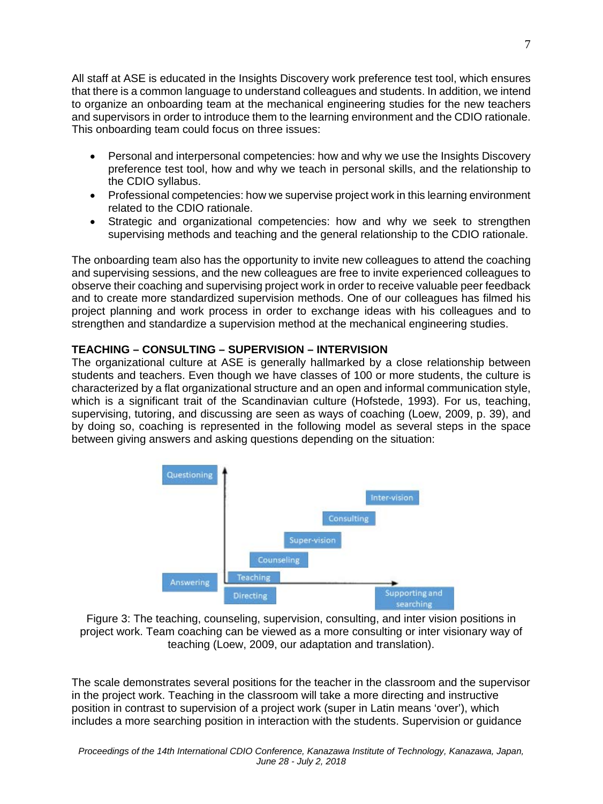All staff at ASE is educated in the Insights Discovery work preference test tool, which ensures that there is a common language to understand colleagues and students. In addition, we intend to organize an onboarding team at the mechanical engineering studies for the new teachers and supervisors in order to introduce them to the learning environment and the CDIO rationale. This onboarding team could focus on three issues:

- Personal and interpersonal competencies: how and why we use the Insights Discovery preference test tool, how and why we teach in personal skills, and the relationship to the CDIO syllabus.
- Professional competencies: how we supervise project work in this learning environment related to the CDIO rationale.
- Strategic and organizational competencies: how and why we seek to strengthen supervising methods and teaching and the general relationship to the CDIO rationale.

The onboarding team also has the opportunity to invite new colleagues to attend the coaching and supervising sessions, and the new colleagues are free to invite experienced colleagues to observe their coaching and supervising project work in order to receive valuable peer feedback and to create more standardized supervision methods. One of our colleagues has filmed his project planning and work process in order to exchange ideas with his colleagues and to strengthen and standardize a supervision method at the mechanical engineering studies.

# **TEACHING – CONSULTING – SUPERVISION – INTERVISION**

The organizational culture at ASE is generally hallmarked by a close relationship between students and teachers. Even though we have classes of 100 or more students, the culture is characterized by a flat organizational structure and an open and informal communication style, which is a significant trait of the Scandinavian culture (Hofstede, 1993). For us, teaching, supervising, tutoring, and discussing are seen as ways of coaching (Loew, 2009, p. 39), and by doing so, coaching is represented in the following model as several steps in the space between giving answers and asking questions depending on the situation:



Figure 3: The teaching, counseling, supervision, consulting, and inter vision positions in project work. Team coaching can be viewed as a more consulting or inter visionary way of teaching (Loew, 2009, our adaptation and translation).

The scale demonstrates several positions for the teacher in the classroom and the supervisor in the project work. Teaching in the classroom will take a more directing and instructive position in contrast to supervision of a project work (super in Latin means 'over'), which includes a more searching position in interaction with the students. Supervision or guidance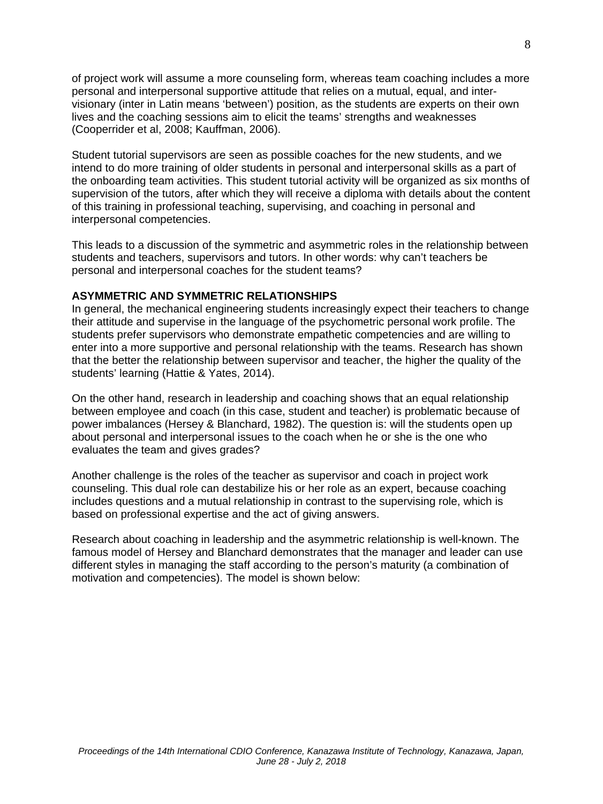of project work will assume a more counseling form, whereas team coaching includes a more personal and interpersonal supportive attitude that relies on a mutual, equal, and intervisionary (inter in Latin means 'between') position, as the students are experts on their own lives and the coaching sessions aim to elicit the teams' strengths and weaknesses (Cooperrider et al, 2008; Kauffman, 2006).

Student tutorial supervisors are seen as possible coaches for the new students, and we intend to do more training of older students in personal and interpersonal skills as a part of the onboarding team activities. This student tutorial activity will be organized as six months of supervision of the tutors, after which they will receive a diploma with details about the content of this training in professional teaching, supervising, and coaching in personal and interpersonal competencies.

This leads to a discussion of the symmetric and asymmetric roles in the relationship between students and teachers, supervisors and tutors. In other words: why can't teachers be personal and interpersonal coaches for the student teams?

## **ASYMMETRIC AND SYMMETRIC RELATIONSHIPS**

In general, the mechanical engineering students increasingly expect their teachers to change their attitude and supervise in the language of the psychometric personal work profile. The students prefer supervisors who demonstrate empathetic competencies and are willing to enter into a more supportive and personal relationship with the teams. Research has shown that the better the relationship between supervisor and teacher, the higher the quality of the students' learning (Hattie & Yates, 2014).

On the other hand, research in leadership and coaching shows that an equal relationship between employee and coach (in this case, student and teacher) is problematic because of power imbalances (Hersey & Blanchard, 1982). The question is: will the students open up about personal and interpersonal issues to the coach when he or she is the one who evaluates the team and gives grades?

Another challenge is the roles of the teacher as supervisor and coach in project work counseling. This dual role can destabilize his or her role as an expert, because coaching includes questions and a mutual relationship in contrast to the supervising role, which is based on professional expertise and the act of giving answers.

Research about coaching in leadership and the asymmetric relationship is well-known. The famous model of Hersey and Blanchard demonstrates that the manager and leader can use different styles in managing the staff according to the person's maturity (a combination of motivation and competencies). The model is shown below: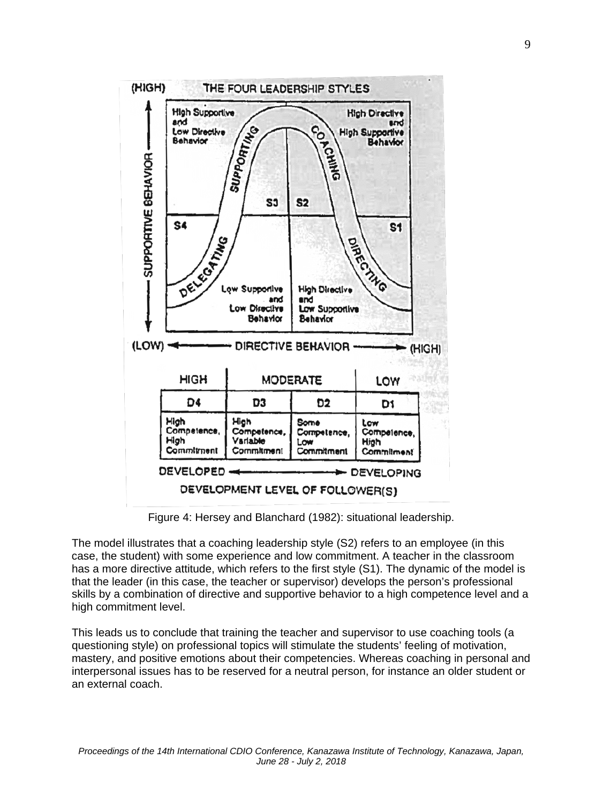

Figure 4: Hersey and Blanchard (1982): situational leadership.

The model illustrates that a coaching leadership style (S2) refers to an employee (in this case, the student) with some experience and low commitment. A teacher in the classroom has a more directive attitude, which refers to the first style (S1). The dynamic of the model is that the leader (in this case, the teacher or supervisor) develops the person's professional skills by a combination of directive and supportive behavior to a high competence level and a high commitment level.

This leads us to conclude that training the teacher and supervisor to use coaching tools (a questioning style) on professional topics will stimulate the students' feeling of motivation, mastery, and positive emotions about their competencies. Whereas coaching in personal and interpersonal issues has to be reserved for a neutral person, for instance an older student or an external coach.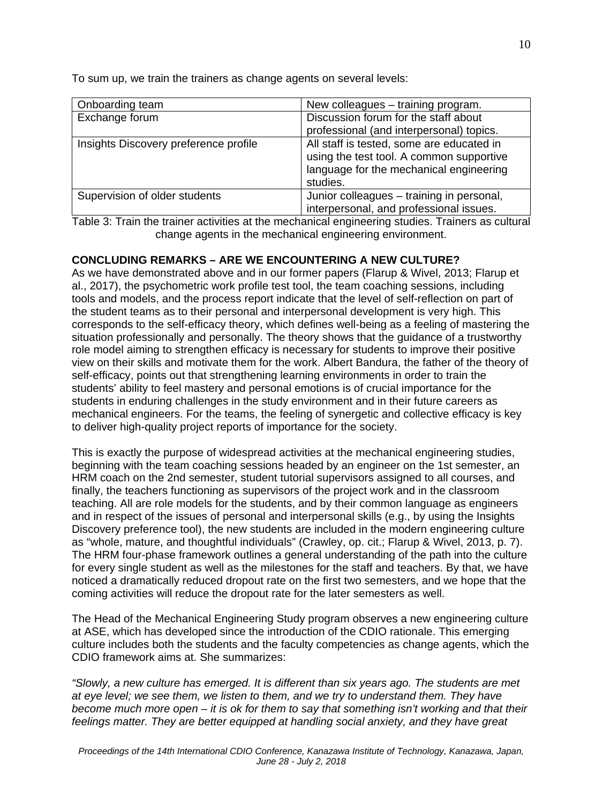To sum up, we train the trainers as change agents on several levels:

| Onboarding team                       | New colleagues – training program.                                                                                                           |
|---------------------------------------|----------------------------------------------------------------------------------------------------------------------------------------------|
| Exchange forum                        | Discussion forum for the staff about                                                                                                         |
|                                       | professional (and interpersonal) topics.                                                                                                     |
| Insights Discovery preference profile | All staff is tested, some are educated in<br>using the test tool. A common supportive<br>language for the mechanical engineering<br>studies. |
| Supervision of older students         | Junior colleagues - training in personal,<br>interpersonal, and professional issues.                                                         |

Table 3: Train the trainer activities at the mechanical engineering studies. Trainers as cultural change agents in the mechanical engineering environment.

# **CONCLUDING REMARKS – ARE WE ENCOUNTERING A NEW CULTURE?**

As we have demonstrated above and in our former papers (Flarup & Wivel, 2013; Flarup et al., 2017), the psychometric work profile test tool, the team coaching sessions, including tools and models, and the process report indicate that the level of self-reflection on part of the student teams as to their personal and interpersonal development is very high. This corresponds to the self-efficacy theory, which defines well-being as a feeling of mastering the situation professionally and personally. The theory shows that the guidance of a trustworthy role model aiming to strengthen efficacy is necessary for students to improve their positive view on their skills and motivate them for the work. Albert Bandura, the father of the theory of self-efficacy, points out that strengthening learning environments in order to train the students' ability to feel mastery and personal emotions is of crucial importance for the students in enduring challenges in the study environment and in their future careers as mechanical engineers. For the teams, the feeling of synergetic and collective efficacy is key to deliver high-quality project reports of importance for the society.

This is exactly the purpose of widespread activities at the mechanical engineering studies, beginning with the team coaching sessions headed by an engineer on the 1st semester, an HRM coach on the 2nd semester, student tutorial supervisors assigned to all courses, and finally, the teachers functioning as supervisors of the project work and in the classroom teaching. All are role models for the students, and by their common language as engineers and in respect of the issues of personal and interpersonal skills (e.g., by using the Insights Discovery preference tool), the new students are included in the modern engineering culture as "whole, mature, and thoughtful individuals" (Crawley, op. cit.; Flarup & Wivel, 2013, p. 7). The HRM four-phase framework outlines a general understanding of the path into the culture for every single student as well as the milestones for the staff and teachers. By that, we have noticed a dramatically reduced dropout rate on the first two semesters, and we hope that the coming activities will reduce the dropout rate for the later semesters as well.

The Head of the Mechanical Engineering Study program observes a new engineering culture at ASE, which has developed since the introduction of the CDIO rationale. This emerging culture includes both the students and the faculty competencies as change agents, which the CDIO framework aims at. She summarizes:

*"Slowly, a new culture has emerged. It is different than six years ago. The students are met at eye level; we see them, we listen to them, and we try to understand them. They have become much more open – it is ok for them to say that something isn't working and that their feelings matter. They are better equipped at handling social anxiety, and they have great*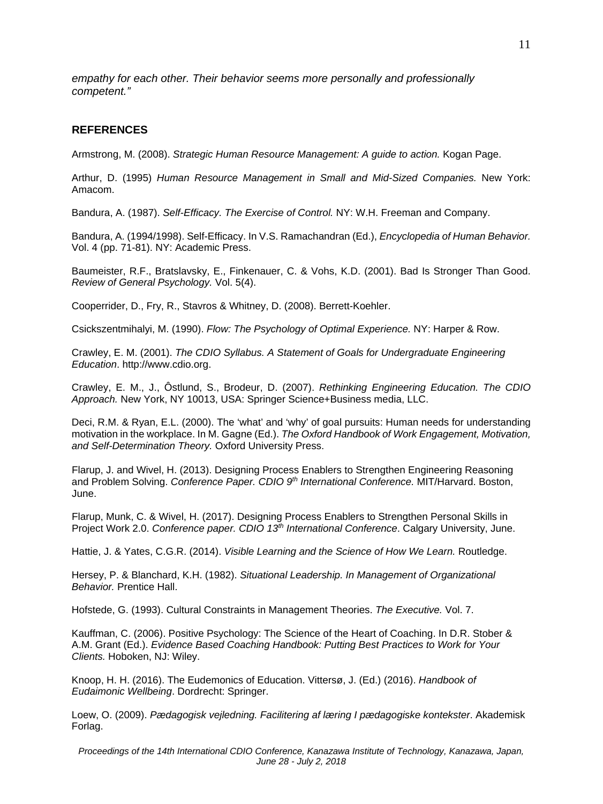*empathy for each other. Their behavior seems more personally and professionally competent."*

## **REFERENCES**

Armstrong, M. (2008). *Strategic Human Resource Management: A guide to action.* Kogan Page.

Arthur, D. (1995) *Human Resource Management in Small and Mid-Sized Companies.* New York: Amacom.

Bandura, A. (1987). *Self-Efficacy. The Exercise of Control.* NY: W.H. Freeman and Company.

Bandura, A. (1994/1998). Self-Efficacy. In V.S. Ramachandran (Ed.), *Encyclopedia of Human Behavior.* Vol. 4 (pp. 71-81). NY: Academic Press.

Baumeister, R.F., Bratslavsky, E., Finkenauer, C. & Vohs, K.D. (2001). Bad Is Stronger Than Good. *Review of General Psychology.* Vol. 5(4).

Cooperrider, D., Fry, R., Stavros & Whitney, D. (2008). Berrett-Koehler.

Csickszentmihalyi, M. (1990). *Flow: The Psychology of Optimal Experience.* NY: Harper & Row.

Crawley, E. M. (2001). *The CDIO Syllabus. A Statement of Goals for Undergraduate Engineering Education*. http://www.cdio.org.

Crawley, E. M., J., Ôstlund, S., Brodeur, D. (2007). *Rethinking Engineering Education. The CDIO Approach.* New York, NY 10013, USA: Springer Science+Business media, LLC.

Deci, R.M. & Ryan, E.L. (2000). The 'what' and 'why' of goal pursuits: Human needs for understanding motivation in the workplace. In M. Gagne (Ed.). *The Oxford Handbook of Work Engagement, Motivation, and Self-Determination Theory.* Oxford University Press.

Flarup, J. and Wivel, H. (2013). Designing Process Enablers to Strengthen Engineering Reasoning and Problem Solving. *Conference Paper. CDIO 9th International Conference.* MIT/Harvard. Boston, June.

Flarup, Munk, C. & Wivel, H. (2017). Designing Process Enablers to Strengthen Personal Skills in Project Work 2.0. *Conference paper. CDIO 13th International Conference*. Calgary University, June.

Hattie, J. & Yates, C.G.R. (2014). *Visible Learning and the Science of How We Learn.* Routledge.

Hersey, P. & Blanchard, K.H. (1982). *Situational Leadership. In Management of Organizational Behavior.* Prentice Hall.

Hofstede, G. (1993). Cultural Constraints in Management Theories. *The Executive.* Vol. 7.

Kauffman, C. (2006). Positive Psychology: The Science of the Heart of Coaching. In D.R. Stober & A.M. Grant (Ed.). *Evidence Based Coaching Handbook: Putting Best Practices to Work for Your Clients.* Hoboken, NJ: Wiley.

Knoop, H. H. (2016). The Eudemonics of Education. Vittersø, J. (Ed.) (2016). *Handbook of Eudaimonic Wellbeing*. Dordrecht: Springer.

Loew, O. (2009). *Pædagogisk vejledning. Facilitering af læring I pædagogiske kontekster*. Akademisk Forlag.